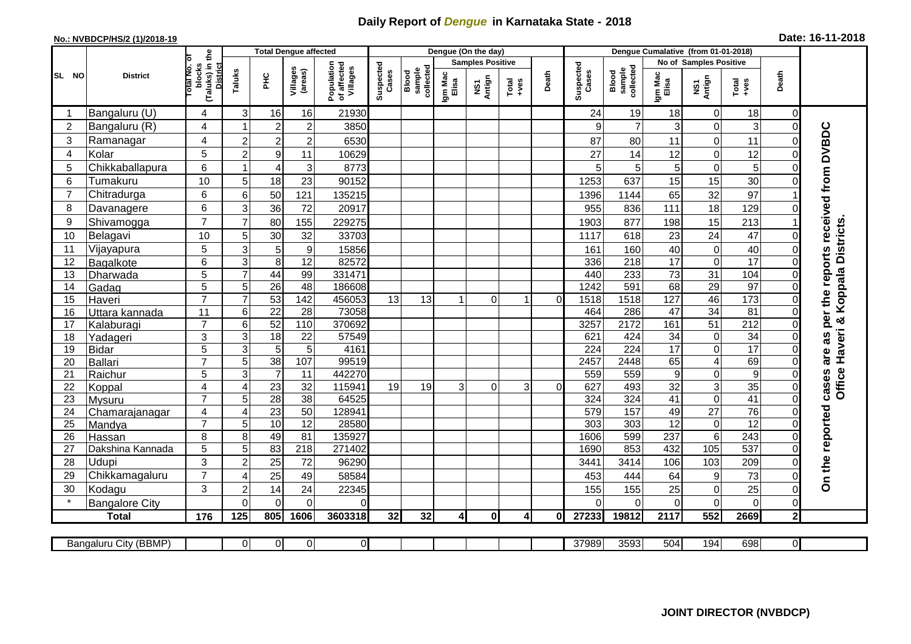## **Daily Report of** *Dengue* **in Karnataka State - 2018**

## **No.: NVBDCP/HS/2 (1)/2018-19 Date: 16-11-2018**

|                 | <b>District</b>              |                                                      | <b>Total Dengue affected</b>     |                                   |                     |                                       |                    |                              |                         | Dengue (On the day)              |                  |          |                    |                              |                                     |                               |                      |                |                                            |
|-----------------|------------------------------|------------------------------------------------------|----------------------------------|-----------------------------------|---------------------|---------------------------------------|--------------------|------------------------------|-------------------------|----------------------------------|------------------|----------|--------------------|------------------------------|-------------------------------------|-------------------------------|----------------------|----------------|--------------------------------------------|
|                 |                              |                                                      |                                  |                                   |                     |                                       |                    |                              | <b>Samples Positive</b> |                                  |                  |          |                    |                              | No of Samples Positive              |                               |                      |                |                                            |
| SL NO           |                              | (Taluks) in the<br>District<br>otal No. of<br>blocks | Taluks                           | ΞÉ                                | Villages<br>(areas) | Population<br>of affected<br>Villages | Suspected<br>Cases | Blood<br>sample<br>collected | Igm Mac<br>Elisa        | Antign<br>$\overline{\text{MS}}$ | $Tota$<br>$+ves$ | Death    | Suspected<br>Cases | sample<br>collected<br>Blood | Igm Mac<br>Elisa                    | NS1<br>Antign                 | Total<br>+ves        | Death          |                                            |
|                 | Bangaluru (U)                | 4                                                    | 3                                | 16                                | 16                  | 21930                                 |                    |                              |                         |                                  |                  |          | 24                 | 19                           | 18                                  | $\mathbf 0$                   | 18                   | 0              |                                            |
| $\overline{2}$  | Bangaluru (R)                | 4                                                    |                                  | $\overline{2}$                    | $\overline{c}$      | 3850                                  |                    |                              |                         |                                  |                  |          | 9                  | $\overline{7}$               | 3                                   | $\mathsf 0$                   | 3                    | $\Omega$       |                                            |
| 3               | Ramanagar                    | 4                                                    | $\overline{2}$                   | $\overline{2}$                    | $\overline{c}$      | 6530                                  |                    |                              |                         |                                  |                  |          | 87                 | 80                           | 11                                  | 0                             | 11                   |                | are as per the reports received from DVBDC |
| 4               | Kolar                        | 5                                                    | $\overline{2}$                   | $\boldsymbol{9}$                  | 11                  | 10629                                 |                    |                              |                         |                                  |                  |          | 27                 | 14                           | 12                                  | 0                             | 12                   | 0              |                                            |
| 5               | Chikkaballapura              | 6                                                    | -1                               | $\overline{4}$                    | 3                   | 8773                                  |                    |                              |                         |                                  |                  |          | 5                  | 5                            | 5                                   | $\mathsf 0$                   | 5                    | 0              |                                            |
| 6               | Tumakuru                     | 10                                                   | 5                                | 18                                | 23                  | 90152                                 |                    |                              |                         |                                  |                  |          | 1253               | 637                          | 15                                  | 15                            | 30                   |                |                                            |
| 7               | Chitradurga                  | 6                                                    | 6                                | 50                                | 121                 | 135215                                |                    |                              |                         |                                  |                  |          | 1396               | 1144                         | 65                                  | 32                            | 97                   |                |                                            |
| 8               | Davanagere                   | 6                                                    | 3                                | 36                                | 72                  | 20917                                 |                    |                              |                         |                                  |                  |          | 955                | 836                          | 111                                 | 18                            | 129                  |                |                                            |
| 9               | Shivamogga                   | $\overline{7}$                                       | 7                                | 80                                | 155                 | 229275                                |                    |                              |                         |                                  |                  |          | 1903               | 877                          | 198                                 | 15                            | 213                  |                |                                            |
| 10              | Belagavi                     | 10                                                   | 5                                | 30                                | 32                  | 33703                                 |                    |                              |                         |                                  |                  |          | 1117               | 618                          | 23                                  | 24                            | 47                   |                | <b>Districts</b>                           |
| 11              | Vijayapura                   | 5                                                    | 3                                | 5                                 | $\boldsymbol{9}$    | 15856                                 |                    |                              |                         |                                  |                  |          | 161                | 160                          | 40                                  | $\mathbf 0$                   | 40                   |                |                                            |
| 12              | Bagalkote                    | 6                                                    | 3                                | $\overline{8}$                    | 12                  | 82572                                 |                    |                              |                         |                                  |                  |          | 336                | 218                          | 17                                  | $\mathbf 0$                   | 17                   |                |                                            |
| 13              | Dharwada                     | 5                                                    | $\overline{7}$                   | 44                                | 99                  | 331471                                |                    |                              |                         |                                  |                  |          | 440                | 233                          | 73                                  | 31                            | 104                  | $\Omega$       | Haveri & Koppala                           |
| 14              | Gadag                        | $\overline{5}$                                       | 5                                | $\overline{26}$                   | $\overline{48}$     | 186608                                |                    |                              |                         |                                  |                  |          | 1242               | 591                          | 68                                  | 29                            | 97                   | $\Omega$       |                                            |
| 15              | Haveri                       | $\overline{7}$                                       | $\overline{7}$                   | 53                                | 142                 | 456053                                | 13                 | 13                           |                         | $\Omega$                         | -1               | $\Omega$ | 1518               | $\frac{1518}{2}$             | 127                                 | 46                            | 173                  | $\Omega$       |                                            |
| 16              | Uttara kannada               | 11                                                   | $\,6$                            | $\overline{22}$                   | 28                  | 73058                                 |                    |                              |                         |                                  |                  |          | 464                | 286                          | 47                                  | 34                            | $\overline{81}$      | $\Omega$       |                                            |
| 17              | Kalaburagi                   | $\overline{7}$                                       | $6\phantom{1}6$                  | 52                                | $\frac{110}{110}$   | 370692                                |                    |                              |                         |                                  |                  |          | 3257               | 2172                         | 161                                 | 51                            | $\overline{212}$     |                |                                            |
| 18              | Yadageri                     | 3                                                    | 3                                | $\overline{18}$                   | 22                  | 57549                                 |                    |                              |                         |                                  |                  |          | 621                | 424                          | 34                                  | $\pmb{0}$                     | 34                   |                |                                            |
| 19              | Bidar                        | 5                                                    | $\overline{3}$                   | $\overline{5}$                    | $\overline{5}$      | 4161                                  |                    |                              |                         |                                  |                  |          | 224                | $\overline{224}$             | $\overline{17}$                     | $\overline{0}$                | 17                   |                |                                            |
| 20              | Ballari                      | $\overline{7}$                                       | 5                                | 38                                | 107                 | 99519                                 |                    |                              |                         |                                  |                  |          | 2457               | 2448                         | 65                                  | $\overline{4}$                | 69                   |                |                                            |
| 21              | Raichur                      | 5<br>$\overline{4}$                                  | $\overline{3}$<br>$\overline{4}$ | $\overline{7}$<br>$\overline{23}$ | 11<br>32            | 442270<br>115941                      | 19                 | 19                           | 3                       | $\Omega$                         | 3                | $\cap$   | 559<br>627         | 559<br>493                   | $\boldsymbol{9}$<br>$\overline{32}$ | $\mathbf 0$<br>$\overline{3}$ | $\overline{9}$<br>35 |                |                                            |
| 22<br>23        | Koppal                       | $\overline{7}$                                       | 5                                | $\overline{28}$                   | $\overline{38}$     | 64525                                 |                    |                              |                         |                                  |                  |          | 324                | 324                          | 41                                  | $\overline{0}$                | 41                   | $\Omega$       | Office<br>cases                            |
| 24              | Mysuru<br>Chamarajanagar     | 4                                                    | $\overline{4}$                   | $\overline{23}$                   | 50                  | 12894 <sup>-</sup>                    |                    |                              |                         |                                  |                  |          | 579                | 157                          | 49                                  | $\overline{27}$               | $\overline{76}$      | $\Omega$       |                                            |
| $\overline{25}$ | Mandya                       | $\overline{7}$                                       | 5                                | 10                                | $\overline{12}$     | 28580                                 |                    |                              |                         |                                  |                  |          | $\overline{303}$   | 303                          | $\overline{12}$                     | $\pmb{0}$                     | $\overline{12}$      | $\Omega$       |                                            |
| 26              | Hassan                       | 8                                                    | 8                                | 49                                | 81                  | 135927                                |                    |                              |                         |                                  |                  |          | 1606               | 599                          | 237                                 | $\overline{6}$                | 243                  | $\overline{0}$ |                                            |
| 27              | Dakshina Kannada             | 5                                                    | 5                                | 83                                | $\overline{218}$    | 271402                                |                    |                              |                         |                                  |                  |          | 1690               | 853                          | 432                                 | 105                           | 537                  | $\Omega$       |                                            |
| 28              | Udupi                        | 3                                                    | $\overline{2}$                   | 25                                | 72                  | 96290                                 |                    |                              |                         |                                  |                  |          | 3441               | 3414                         | 106                                 | 103                           | 209                  |                |                                            |
| 29              | Chikkamagaluru               | $\overline{7}$                                       | $\overline{4}$                   | 25                                | 49                  | 58584                                 |                    |                              |                         |                                  |                  |          | 453                | 444                          | 64                                  | 9                             | 73                   |                | On the reported                            |
| 30              | Kodagu                       | 3                                                    | $\overline{2}$                   | 14                                | 24                  | 22345                                 |                    |                              |                         |                                  |                  |          | 155                | 155                          | 25                                  | $\mathsf 0$                   | 25                   | $\mathbf 0$    |                                            |
|                 | <b>Bangalore City</b>        |                                                      | $\Omega$                         | $\mathbf{0}$                      | $\overline{0}$      | $\Omega$                              |                    |                              |                         |                                  |                  |          | $\Omega$           | $\Omega$                     | $\Omega$                            | 0                             | $\mathbf 0$          | $\Omega$       |                                            |
|                 | <b>Total</b>                 | 176                                                  | 125                              | 805                               | 1606                | 3603318                               | 32                 | 32                           | $\mathbf{4}$            | 0                                | $\overline{4}$   | 0l       | 27233              | 19812                        | 2117                                | 552                           | 2669                 | $\mathbf{2}$   |                                            |
|                 |                              |                                                      |                                  |                                   |                     |                                       |                    |                              |                         |                                  |                  |          |                    |                              |                                     |                               |                      |                |                                            |
|                 | <b>Bangaluru City (BBMP)</b> |                                                      | $\overline{0}$                   | $\overline{0}$                    | $\overline{0}$      | $\overline{0}$                        |                    |                              |                         |                                  |                  |          | 37989              | 3593                         | 504                                 | 194                           | 698                  | $\overline{0}$ |                                            |